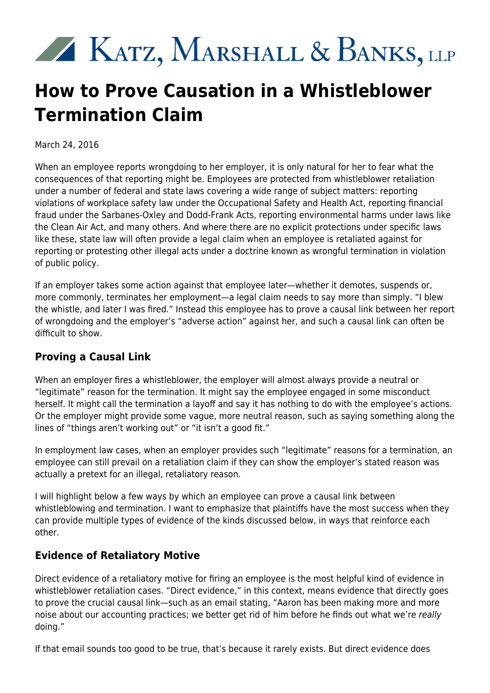# KATZ, MARSHALL & BANKS, LLP

# **How to Prove Causation in a Whistleblower Termination Claim**

March 24, 2016

When an employee reports wrongdoing to her employer, it is only natural for her to fear what the consequences of that reporting might be. Employees are protected from whistleblower retaliation under a number of federal and state laws covering a wide range of subject matters: reporting violations of workplace safety law under the Occupational Safety and Health Act, reporting financial fraud under the Sarbanes-Oxley and Dodd-Frank Acts, reporting environmental harms under laws like the Clean Air Act, and many others. And where there are no explicit protections under specific laws like these, state law will often provide a legal claim when an employee is retaliated against for reporting or protesting other illegal acts under a doctrine known as wrongful termination in violation of public policy.

If an employer takes some action against that employee later—whether it demotes, suspends or, more commonly, terminates her employment—a legal claim needs to say more than simply. "I blew the whistle, and later I was fired." Instead this employee has to prove a causal link between her report of wrongdoing and the employer's "adverse action" against her, and such a causal link can often be difficult to show.

#### **Proving a Causal Link**

When an employer fires a whistleblower, the employer will almost always provide a neutral or "legitimate" reason for the termination. It might say the employee engaged in some misconduct herself. It might call the termination a layoff and say it has nothing to do with the employee's actions. Or the employer might provide some vague, more neutral reason, such as saying something along the lines of "things aren't working out" or "it isn't a good fit."

In employment law cases, when an employer provides such "legitimate" reasons for a termination, an employee can still prevail on a retaliation claim if they can show the employer's stated reason was actually a pretext for an illegal, retaliatory reason.

I will highlight below a few ways by which an employee can prove a causal link between whistleblowing and termination. I want to emphasize that plaintiffs have the most success when they can provide multiple types of evidence of the kinds discussed below, in ways that reinforce each other.

#### **Evidence of Retaliatory Motive**

Direct evidence of a retaliatory motive for firing an employee is the most helpful kind of evidence in whistleblower retaliation cases. "Direct evidence," in this context, means evidence that directly goes to prove the crucial causal link—such as an email stating, "Aaron has been making more and more noise about our accounting practices; we better get rid of him before he finds out what we're really doing."

If that email sounds too good to be true, that's because it rarely exists. But direct evidence does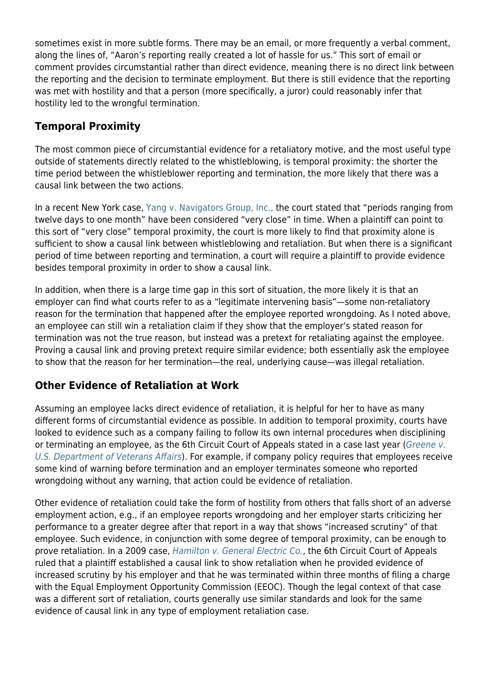sometimes exist in more subtle forms. There may be an email, or more frequently a verbal comment, along the lines of, "Aaron's reporting really created a lot of hassle for us." This sort of email or comment provides circumstantial rather than direct evidence, meaning there is no direct link between the reporting and the decision to terminate employment. But there is still evidence that the reporting was met with hostility and that a person (more specifically, a juror) could reasonably infer that hostility led to the wrongful termination.

## **Temporal Proximity**

The most common piece of circumstantial evidence for a retaliatory motive, and the most useful type outside of statements directly related to the whistleblowing, is temporal proximity: the shorter the time period between the whistleblower reporting and termination, the more likely that there was a causal link between the two actions.

In a recent New York case, [Yang v. Navigators Group, Inc.,](http://www.kmblegal.com/sec-whistleblower-blog/yang-sdny-dismisses-whistleblower-case-over-inability-prove-causation) the court stated that "periods ranging from twelve days to one month" have been considered "very close" in time. When a plaintiff can point to this sort of "very close" temporal proximity, the court is more likely to find that proximity alone is sufficient to show a causal link between whistleblowing and retaliation. But when there is a significant period of time between reporting and termination, a court will require a plaintiff to provide evidence besides temporal proximity in order to show a causal link.

In addition, when there is a large time gap in this sort of situation, the more likely it is that an employer can find what courts refer to as a "legitimate intervening basis"—some non-retaliatory reason for the termination that happened after the employee reported wrongdoing. As I noted above, an employee can still win a retaliation claim if they show that the employer's stated reason for termination was not the true reason, but instead was a pretext for retaliating against the employee. Proving a causal link and proving pretext require similar evidence; both essentially ask the employee to show that the reason for her termination—the real, underlying cause—was illegal retaliation.

### **Other Evidence of Retaliation at Work**

Assuming an employee lacks direct evidence of retaliation, it is helpful for her to have as many different forms of circumstantial evidence as possible. In addition to temporal proximity, courts have looked to evidence such as a company failing to follow its own internal procedures when disciplining or terminating an employee, as the 6th Circuit Court of Appeals stated in a case last year ([Greene v.](http://law.justia.com/cases/federal/appellate-courts/ca6/14-1312/14-1312-2015-03-24.html) [U.S. Department of Veterans Affairs](http://law.justia.com/cases/federal/appellate-courts/ca6/14-1312/14-1312-2015-03-24.html)). For example, if company policy requires that employees receive some kind of warning before termination and an employer terminates someone who reported wrongdoing without any warning, that action could be evidence of retaliation.

Other evidence of retaliation could take the form of hostility from others that falls short of an adverse employment action, e.g., if an employee reports wrongdoing and her employer starts criticizing her performance to a greater degree after that report in a way that shows "increased scrutiny" of that employee. Such evidence, in conjunction with some degree of temporal proximity, can be enough to prove retaliation. In a 2009 case, [Hamilton v. General Electric Co.](http://www.ca6.uscourts.gov/opinions.pdf/09a0050p-06.pdf), the 6th Circuit Court of Appeals ruled that a plaintiff established a causal link to show retaliation when he provided evidence of increased scrutiny by his employer and that he was terminated within three months of filing a charge with the Equal Employment Opportunity Commission (EEOC). Though the legal context of that case was a different sort of retaliation, courts generally use similar standards and look for the same evidence of causal link in any type of employment retaliation case.